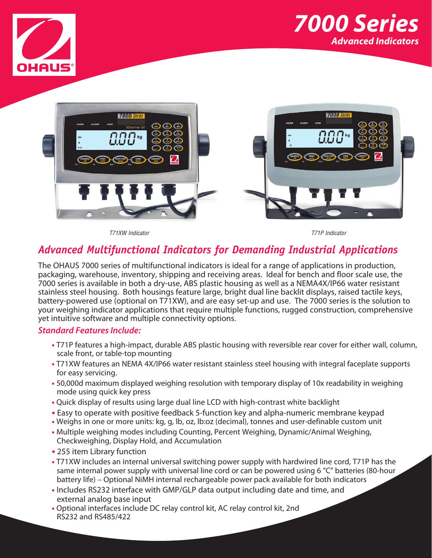





*T71XW Indicator T71P Indicator*

# *Advanced Multifunctional Indicators for Demanding Industrial Applications*

The OHAUS 7000 series of multifunctional indicators is ideal for a range of applications in production, packaging, warehouse, inventory, shipping and receiving areas. Ideal for bench and floor scale use, the 7000 series is available in both a dry-use, ABS plastic housing as well as a NEMA4X/IP66 water resistant stainless steel housing. Both housings feature large, bright dual line backlit displays, raised tactile keys, battery-powered use (optional on T71XW), and are easy set-up and use. The 7000 series is the solution to your weighing indicator applications that require multiple functions, rugged construction, comprehensive yet intuitive software and multiple connectivity options.

## *Standard Features Include:*

- **•** T71P features a high-impact, durable ABS plastic housing with reversible rear cover for either wall, column, scale front, or table-top mounting
- **•** T71XW features an NEMA 4X/IP66 water resistant stainless steel housing with integral faceplate supports for easy servicing.
- **•** 50,000d maximum displayed weighing resolution with temporary display of 10x readability in weighing mode using quick key press
- **•** Quick display of results using large dual line LCD with high-contrast white backlight
- **•** Easy to operate with positive feedback 5-function key and alpha-numeric membrane keypad
- **•** Weighs in one or more units: kg, g, lb, oz, lb:oz (decimal), tonnes and user-definable custom unit
- **•** Multiple weighing modes including Counting, Percent Weighing, Dynamic/Animal Weighing, Checkweighing, Display Hold, and Accumulation
- **•** 255 item Library function
- **•** T71XW includes an internal universal switching power supply with hardwired line cord, T71P has the same internal power supply with universal line cord or can be powered using 6 "C" batteries (80-hour battery life) – Optional NiMH internal rechargeable power pack available for both indicators
- **•** Includes RS232 interface with GMP/GLP data output including date and time, and external analog base input
- **•** Optional interfaces include DC relay control kit, AC relay control kit, 2nd RS232 and RS485/422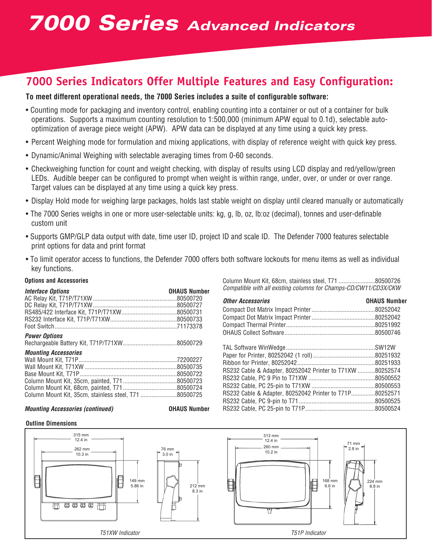# **7000 Series Indicators Offer Multiple Features and Easy Configuration:**

## **To meet different operational needs, the 7000 Series includes a suite of configurable software:**

- Counting mode for packaging and inventory control, enabling counting into a container or out of a container for bulk operations. Supports a maximum counting resolution to 1:500,000 (minimum APW equal to 0.1d), selectable autooptimization of average piece weight (APW). APW data can be displayed at any time using a quick key press.
- Percent Weighing mode for formulation and mixing applications, with display of reference weight with quick key press.
- Dynamic/Animal Weighing with selectable averaging times from 0-60 seconds.
- Checkweighing function for count and weight checking, with display of results using LCD display and red/yellow/green LEDs. Audible beeper can be configured to prompt when weight is within range, under, over, or under or over range. Target values can be displayed at any time using a quick key press.
- Display Hold mode for weighing large packages, holds last stable weight on display until cleared manually or automatically
- The 7000 Series weighs in one or more user-selectable units: kg, g, lb, oz, lb:oz (decimal), tonnes and user-definable custom unit
- Supports GMP/GLP data output with date, time user ID, project ID and scale ID. The Defender 7000 features selectable print options for data and print format
- To limit operator access to functions, the Defender 7000 offers both software lockouts for menu items as well as individual key functions.

| <b>Interface Options</b>                              | <b>OHAUS Number</b> |
|-------------------------------------------------------|---------------------|
|                                                       |                     |
| <b>Power Options</b>                                  |                     |
|                                                       |                     |
| <b>Mounting Accessories</b>                           |                     |
|                                                       |                     |
|                                                       |                     |
|                                                       |                     |
|                                                       |                     |
| Column Mount Kit. 35cm. stainless steel. T71 80500725 |                     |

#### *Mounting Accessories (continued)* **OHAUS Number**



Column Mount Kit, 68cm, stainless steel, T71 .......................80500726 *Compatible with all existing columns for Champs-CD/CW11/CD3X/CKW*

| <b>Other Accessories</b>                                   | <b>OHAUS Number</b> |
|------------------------------------------------------------|---------------------|
|                                                            |                     |
|                                                            |                     |
|                                                            |                     |
|                                                            |                     |
|                                                            |                     |
|                                                            |                     |
|                                                            |                     |
| RS232 Cable 8, Adapter, 80252042 Printer to T71YW 80252574 |                     |

| RS232 Cable & Adapter, 80252042 Printer to T71XW 80252574 |  |
|-----------------------------------------------------------|--|
|                                                           |  |
|                                                           |  |
| RS232 Cable & Adapter, 80252042 Printer to T71P80252571   |  |
|                                                           |  |
|                                                           |  |



**Options and Accessories**

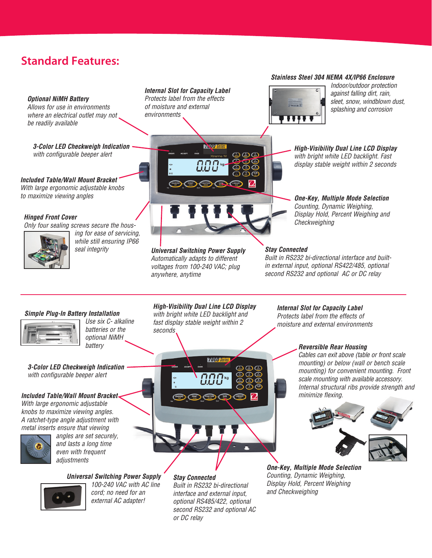# **Standard Features:**

#### *Optional NiMH Battery*

*Allows for use in environments where an electrical outlet may not be readily available*

*3-Color LED Checkweigh Indication with configurable beeper alert*

*Included Table/Wall Mount Bracket With large ergonomic adjustable knobs to maximize viewing angles*

## *Hinged Front Cover*

*Only four sealing screws secure the hous-*



*ing for ease of servicing, while still ensuring IP66* 

## *Internal Slot for Capacity Label Protects label from the effects*

*of moisture and external environments*



*seal integrity Universal Switching Power Supply Automatically adapts to different voltages from 100-240 VAC; plug anywhere, anytime*

*Stay Connected*

*Built in RS232 bi-directional interface and builtin external input, optional RS422/485, optional second RS232 and optional AC or DC relay*

## *Simple Plug-In Battery Installation*



*Use six C- alkaline batteries or the optional NiMH battery*

*3-Color LED Checkweigh Indication with configurable beeper alert*

## *Included Table/Wall Mount Bracket*

*With large ergonomic adjustable knobs to maximize viewing angles. A ratchet-type angle adjustment with metal inserts ensure that viewing* 



*angles are set securely, and lasts a long time even with frequent adjustments* 

*Universal Switching Power Supply*



*100-240 VAC with AC line cord; no need for an external AC adapter!*

# *High-Visibility Dual Line LCD Display*

*with bright white LED backlight and fast display stable weight within 2 seconds*



*Stay Connected Built in RS232 bi-directional interface and external input, optional RS485/422, optional second RS232 and optional AC or DC relay*

*Internal Slot for Capacity Label Protects label from the effects of moisture and external environments*

#### *Reversible Rear Housing*

*Cables can exit above (table or front scale mounting) or below (wall or bench scale mounting) for convenient mounting. Front scale mounting with available accessory. Internal structural ribs provide strength and minimize flexing.*



*One-Key, Multiple Mode Selection Counting, Dynamic Weighing, Display Hold, Percent Weighing and Checkweighing*



*Indoor/outdoor protection* 

*Stainless Steel 304 NEMA 4X/IP66 Enclosure*

*High-Visibility Dual Line LCD Display with bright white LED backlight. Fast display stable weight within 2 seconds*

*One-Key, Multiple Mode Selection Counting, Dynamic Weighing, Display Hold, Percent Weighing and Checkweighing*